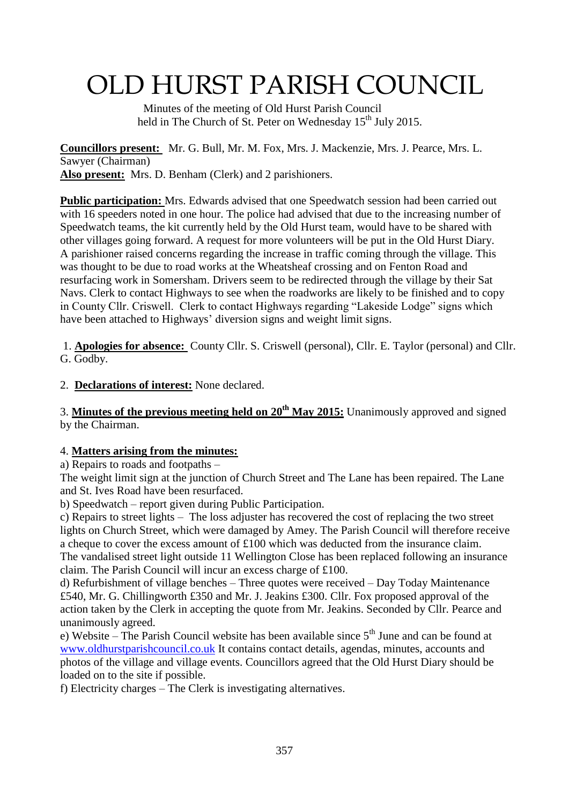# OLD HURST PARISH COUNCIL

 Minutes of the meeting of Old Hurst Parish Council held in The Church of St. Peter on Wednesday 15<sup>th</sup> July 2015.

**Councillors present:** Mr. G. Bull, Mr. M. Fox, Mrs. J. Mackenzie, Mrs. J. Pearce, Mrs. L. Sawyer (Chairman) **Also present:** Mrs. D. Benham (Clerk) and 2 parishioners.

**Public participation:** Mrs. Edwards advised that one Speedwatch session had been carried out with 16 speeders noted in one hour. The police had advised that due to the increasing number of Speedwatch teams, the kit currently held by the Old Hurst team, would have to be shared with other villages going forward. A request for more volunteers will be put in the Old Hurst Diary. A parishioner raised concerns regarding the increase in traffic coming through the village. This was thought to be due to road works at the Wheatsheaf crossing and on Fenton Road and resurfacing work in Somersham. Drivers seem to be redirected through the village by their Sat Navs. Clerk to contact Highways to see when the roadworks are likely to be finished and to copy in County Cllr. Criswell. Clerk to contact Highways regarding "Lakeside Lodge" signs which have been attached to Highways' diversion signs and weight limit signs.

1. **Apologies for absence:** County Cllr. S. Criswell (personal), Cllr. E. Taylor (personal) and Cllr. G. Godby.

2. **Declarations of interest:** None declared.

3. **Minutes of the previous meeting held on 20th May 2015:** Unanimously approved and signed by the Chairman.

#### 4. **Matters arising from the minutes:**

a) Repairs to roads and footpaths –

The weight limit sign at the junction of Church Street and The Lane has been repaired. The Lane and St. Ives Road have been resurfaced.

b) Speedwatch – report given during Public Participation.

c) Repairs to street lights – The loss adjuster has recovered the cost of replacing the two street lights on Church Street, which were damaged by Amey. The Parish Council will therefore receive a cheque to cover the excess amount of £100 which was deducted from the insurance claim. The vandalised street light outside 11 Wellington Close has been replaced following an insurance claim. The Parish Council will incur an excess charge of £100.

d) Refurbishment of village benches – Three quotes were received – Day Today Maintenance £540, Mr. G. Chillingworth £350 and Mr. J. Jeakins £300. Cllr. Fox proposed approval of the action taken by the Clerk in accepting the quote from Mr. Jeakins. Seconded by Cllr. Pearce and unanimously agreed.

e) Website – The Parish Council website has been available since  $5<sup>th</sup>$  June and can be found at [www.oldhurstparishcouncil.co.uk](http://www.oldhurstparishcouncil.co.uk/) It contains contact details, agendas, minutes, accounts and photos of the village and village events. Councillors agreed that the Old Hurst Diary should be loaded on to the site if possible.

f) Electricity charges – The Clerk is investigating alternatives.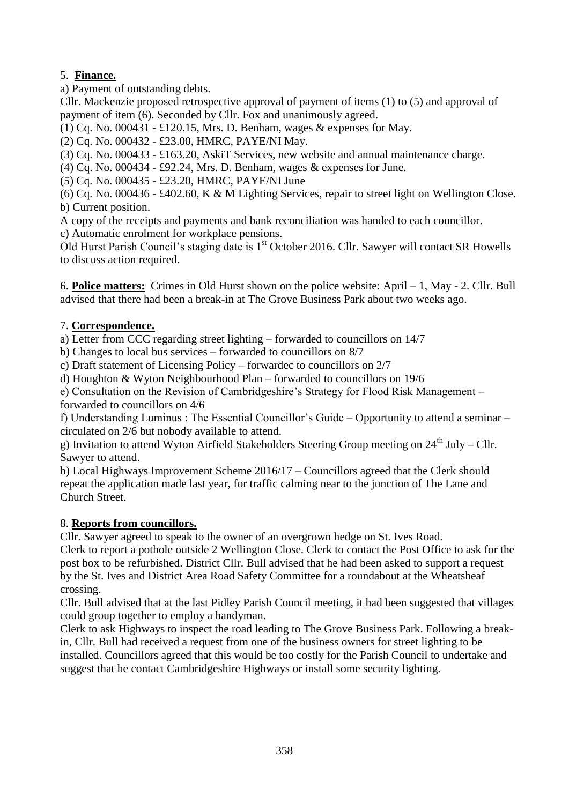### 5. **Finance.**

a) Payment of outstanding debts.

Cllr. Mackenzie proposed retrospective approval of payment of items (1) to (5) and approval of payment of item (6). Seconded by Cllr. Fox and unanimously agreed.

(1) Cq. No. 000431 - £120.15, Mrs. D. Benham, wages & expenses for May.

(2) Cq. No. 000432 - £23.00, HMRC, PAYE/NI May.

(3) Cq. No. 000433 - £163.20, AskiT Services, new website and annual maintenance charge.

(4) Cq. No. 000434 - £92.24, Mrs. D. Benham, wages & expenses for June.

(5) Cq. No. 000435 - £23.20, HMRC, PAYE/NI June

(6) Cq. No. 000436 - £402.60, K & M Lighting Services, repair to street light on Wellington Close. b) Current position.

A copy of the receipts and payments and bank reconciliation was handed to each councillor.

c) Automatic enrolment for workplace pensions.

Old Hurst Parish Council's staging date is 1<sup>st</sup> October 2016. Cllr. Sawyer will contact SR Howells to discuss action required.

6. **Police matters:** Crimes in Old Hurst shown on the police website: April – 1, May - 2. Cllr. Bull advised that there had been a break-in at The Grove Business Park about two weeks ago.

# 7. **Correspondence.**

a) Letter from CCC regarding street lighting – forwarded to councillors on 14/7

b) Changes to local bus services – forwarded to councillors on 8/7

c) Draft statement of Licensing Policy – forwardec to councillors on 2/7

d) Houghton & Wyton Neighbourhood Plan – forwarded to councillors on 19/6

e) Consultation on the Revision of Cambridgeshire's Strategy for Flood Risk Management – forwarded to councillors on 4/6

f) Understanding Luminus : The Essential Councillor's Guide – Opportunity to attend a seminar – circulated on 2/6 but nobody available to attend.

g) Invitation to attend Wyton Airfield Stakeholders Steering Group meeting on  $24<sup>th</sup>$  July – Cllr. Sawyer to attend.

h) Local Highways Improvement Scheme 2016/17 – Councillors agreed that the Clerk should repeat the application made last year, for traffic calming near to the junction of The Lane and Church Street.

# 8. **Reports from councillors.**

Cllr. Sawyer agreed to speak to the owner of an overgrown hedge on St. Ives Road.

Clerk to report a pothole outside 2 Wellington Close. Clerk to contact the Post Office to ask for the post box to be refurbished. District Cllr. Bull advised that he had been asked to support a request by the St. Ives and District Area Road Safety Committee for a roundabout at the Wheatsheaf crossing.

Cllr. Bull advised that at the last Pidley Parish Council meeting, it had been suggested that villages could group together to employ a handyman.

Clerk to ask Highways to inspect the road leading to The Grove Business Park. Following a breakin, Cllr. Bull had received a request from one of the business owners for street lighting to be installed. Councillors agreed that this would be too costly for the Parish Council to undertake and suggest that he contact Cambridgeshire Highways or install some security lighting.